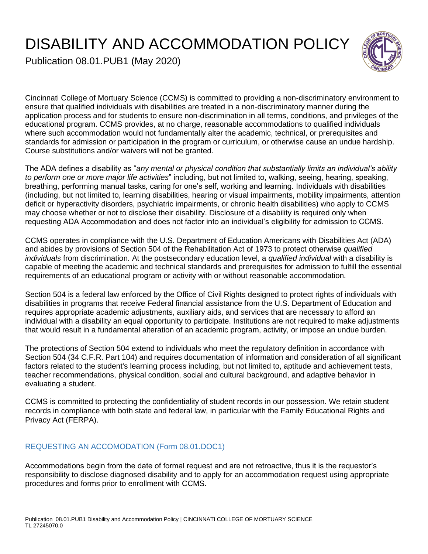# DISABILITY AND ACCOMMODATION POLICY



Publication 08.01.PUB1 (May 2020)

Cincinnati College of Mortuary Science (CCMS) is committed to providing a non-discriminatory environment to ensure that qualified individuals with disabilities are treated in a non-discriminatory manner during the application process and for students to ensure non-discrimination in all terms, conditions, and privileges of the educational program. CCMS provides, at no charge, reasonable accommodations to qualified individuals where such accommodation would not fundamentally alter the academic, technical, or prerequisites and standards for admission or participation in the program or curriculum, or otherwise cause an undue hardship. Course substitutions and/or waivers will not be granted.

The ADA defines a disability as "*any mental or physical condition that substantially limits an individual's ability to perform one or more major life activities*" including, but not limited to, walking, seeing, hearing, speaking, breathing, performing manual tasks, caring for one's self, working and learning. Individuals with disabilities (including, but not limited to, learning disabilities, hearing or visual impairments, mobility impairments, attention deficit or hyperactivity disorders, psychiatric impairments, or chronic health disabilities) who apply to CCMS may choose whether or not to disclose their disability. Disclosure of a disability is required only when requesting ADA Accommodation and does not factor into an individual's eligibility for admission to CCMS.

CCMS operates in compliance with the U.S. Department of Education Americans with Disabilities Act (ADA) and abides by provisions of Section 504 of the Rehabilitation Act of 1973 to protect otherwise *qualified individuals* from discrimination. At the postsecondary education level, a *qualified individual* with a disability is capable of meeting the academic and technical standards and prerequisites for admission to fulfill the essential requirements of an educational program or activity with or without reasonable accommodation.

Section 504 is a federal law enforced by the Office of Civil Rights designed to protect rights of individuals with disabilities in programs that receive Federal financial assistance from the U.S. Department of Education and requires appropriate academic adjustments, auxiliary aids, and services that are necessary to afford an individual with a disability an equal opportunity to participate. Institutions are not required to make adjustments that would result in a fundamental alteration of an academic program, activity, or impose an undue burden.

The protections of Section 504 extend to individuals who meet the regulatory definition in accordance with Section 504 (34 C.F.R. Part 104) and requires documentation of information and consideration of all significant factors related to the student's learning process including, but not limited to, aptitude and achievement tests, teacher recommendations, physical condition, social and cultural background, and adaptive behavior in evaluating a student.

CCMS is committed to protecting the confidentiality of student records in our possession. We retain student records in compliance with both state and federal law, in particular with the Family Educational Rights and Privacy Act (FERPA).

## REQUESTING AN ACCOMODATION (Form 08.01.DOC1)

Accommodations begin from the date of formal request and are not retroactive, thus it is the requestor's responsibility to disclose diagnosed disability and to apply for an accommodation request using appropriate procedures and forms prior to enrollment with CCMS.